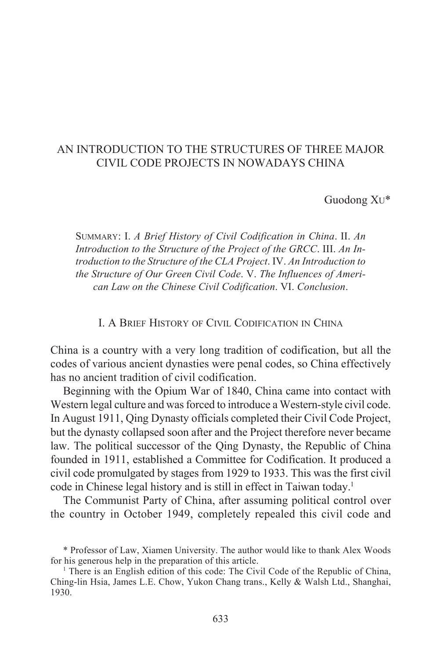# AN INTRODUCTION TO THE STRUCTURES OF THREE MAJOR CIVIL CODE PROJECTS IN NOWADAYS CHINA

Guodong XU\*

SUMMARY: I. *A Brief History of Civil Codification in China*. II. *An Introduction to the Structure of the Project of the GRCC*. III. *An Introduction to the Structure of the CLA Project*. IV. *An Introduction to the Structure of Our Green Civil Code*. V. *The Influences of American Law on the Chinese Civil Codification*. VI. *Conclusion*.

I. A BRIEF HISTORY OF CIVIL CODIFICATION IN CHINA

China is a country with a very long tradition of codification, but all the codes of various ancient dynasties were penal codes, so China effectively has no ancient tradition of civil codification.

Beginning with the Opium War of 1840, China came into contact with Western legal culture and was forced to introduce a Western-style civil code. In August 1911, Qing Dynasty officials completed their Civil Code Project, but the dynasty collapsed soon after and the Project therefore never became law. The political successor of the Qing Dynasty, the Republic of China founded in 1911, established a Committee for Codification. It produced a civil code promulgated by stages from 1929 to 1933. This was the first civil code in Chinese legal history and is still in effect in Taiwan today.<sup>1</sup>

The Communist Party of China, after assuming political control over the country in October 1949, completely repealed this civil code and

<sup>\*</sup> Professor of Law, Xiamen University. The author would like to thank Alex Woods for his generous help in the preparation of this article.

<sup>&</sup>lt;sup>1</sup> There is an English edition of this code: The Civil Code of the Republic of China, Ching-lin Hsia, James L.E. Chow, Yukon Chang trans., Kelly & Walsh Ltd., Shanghai, 1930.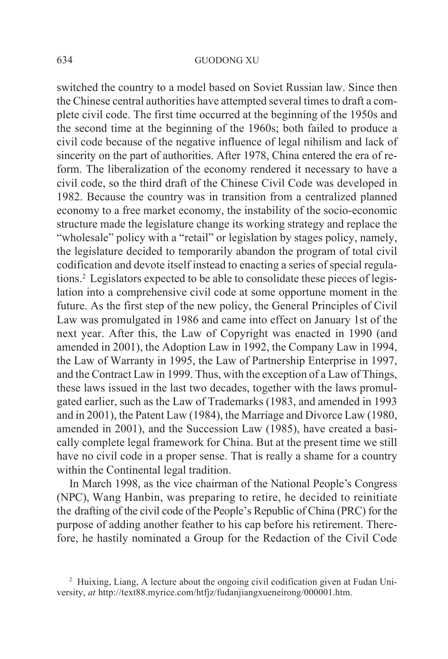switched the country to a model based on Soviet Russian law. Since then the Chinese central authorities have attempted several times to draft a complete civil code. The first time occurred at the beginning of the 1950s and the second time at the beginning of the 1960s; both failed to produce a civil code because of the negative influence of legal nihilism and lack of sincerity on the part of authorities. After 1978, China entered the era of reform. The liberalization of the economy rendered it necessary to have a civil code, so the third draft of the Chinese Civil Code was developed in 1982. Because the country was in transition from a centralized planned economy to a free market economy, the instability of the socio-economic structure made the legislature change its working strategy and replace the "wholesale" policy with a "retail" or legislation by stages policy, namely, the legislature decided to temporarily abandon the program of total civil codification and devote itself instead to enacting a series of special regulations.2 Legislators expected to be able to consolidate these pieces of legislation into a comprehensive civil code at some opportune moment in the future. As the first step of the new policy, the General Principles of Civil Law was promulgated in 1986 and came into effect on January 1st of the next year. After this, the Law of Copyright was enacted in 1990 (and amended in 2001), the Adoption Law in 1992, the Company Law in 1994, the Law of Warranty in 1995, the Law of Partnership Enterprise in 1997, and the Contract Law in 1999. Thus, with the exception of a Law of Things, these laws issued in the last two decades, together with the laws promulgated earlier, such as the Law of Trademarks (1983, and amended in 1993 and in 2001), the Patent Law (1984), the Marriage and Divorce Law (1980, amended in 2001), and the Succession Law (1985), have created a basically complete legal framework for China. But at the present time we still have no civil code in a proper sense. That is really a shame for a country within the Continental legal tradition.

In March 1998, as the vice chairman of the National People's Congress (NPC), Wang Hanbin, was preparing to retire, he decided to reinitiate the drafting of the civil code of the People's Republic of China (PRC) for the purpose of adding another feather to his cap before his retirement. Therefore, he hastily nominated a Group for the Redaction of the Civil Code

<sup>&</sup>lt;sup>2</sup> Huixing, Liang, A lecture about the ongoing civil codification given at Fudan University, *at* http://text88.myrice.com/htfjz/fudanjiangxueneirong/000001.htm.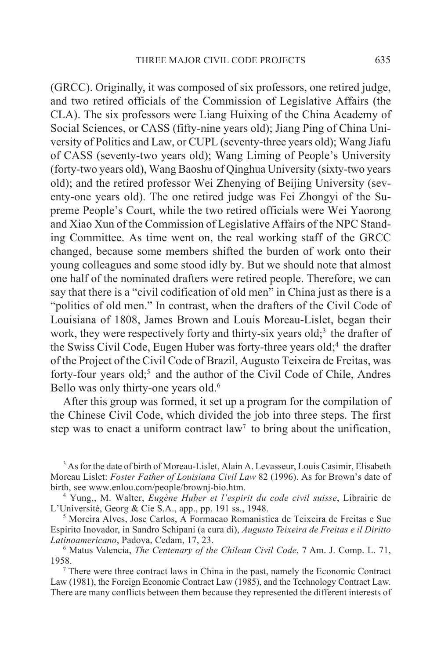(GRCC). Originally, it was composed of six professors, one retired judge, and two retired officials of the Commission of Legislative Affairs (the CLA). The six professors were Liang Huixing of the China Academy of Social Sciences, or CASS (fifty-nine years old); Jiang Ping of China University of Politics and Law, or CUPL (seventy-three years old); Wang Jiafu of CASS (seventy-two years old); Wang Liming of People's University (forty-two years old), Wang Baoshu of Qinghua University (sixty-two years old); and the retired professor Wei Zhenying of Beijing University (seventy-one years old). The one retired judge was Fei Zhongyi of the Supreme People's Court, while the two retired officials were Wei Yaorong and Xiao Xun of the Commission of Legislative Affairs of the NPC Standing Committee. As time went on, the real working staff of the GRCC changed, because some members shifted the burden of work onto their young colleagues and some stood idly by. But we should note that almost one half of the nominated drafters were retired people. Therefore, we can say that there is a "civil codification of old men" in China just as there is a "politics of old men." In contrast, when the drafters of the Civil Code of Louisiana of 1808, James Brown and Louis Moreau-Lislet, began their work, they were respectively forty and thirty-six years old;<sup>3</sup> the drafter of the Swiss Civil Code, Eugen Huber was forty-three years old;<sup>4</sup> the drafter of the Project of the Civil Code of Brazil, Augusto Teixeira de Freitas, was forty-four years old;<sup>5</sup> and the author of the Civil Code of Chile, Andres Bello was only thirty-one years old.<sup>6</sup>

After this group was formed, it set up a program for the compilation of the Chinese Civil Code, which divided the job into three steps. The first step was to enact a uniform contract  $law<sup>7</sup>$  to bring about the unification,

<sup>3</sup> As for the date of birth of Moreau-Lislet, Alain A. Levasseur, Louis Casimir, Elisabeth Moreau Lislet: *Foster Father of Louisiana Civil Law* 82 (1996). As for Brown's date of birth, see www.enlou.com/people/brownj-bio.htm.

4 Yung,, M. Walter, *Eugène Huber et l'espirit du code civil suisse*, Librairie de L'Université, Georg & Cie S.A., app., pp. 191 ss., 1948.

5 Moreira Alves, Jose Carlos, A Formacao Romanistica de Teixeira de Freitas e Sue Espirito Inovador, in Sandro Schipani (a cura di), *Augusto Teixeira de Freitas e il Diritto Latinoamericano*, Padova, Cedam, 17, 23.

6 Matus Valencia, *The Centenary of the Chilean Civil Code*, 7 Am. J. Comp. L. 71, 1958.

<sup>7</sup> There were three contract laws in China in the past, namely the Economic Contract Law (1981), the Foreign Economic Contract Law (1985), and the Technology Contract Law. There are many conflicts between them because they represented the different interests of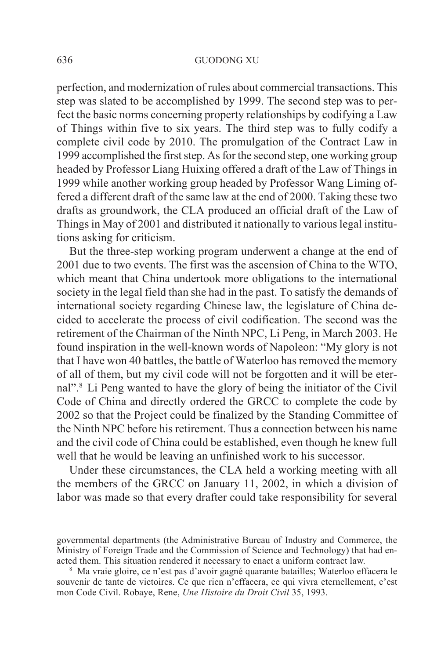perfection, and modernization of rules about commercial transactions. This step was slated to be accomplished by 1999. The second step was to perfect the basic norms concerning property relationships by codifying a Law of Things within five to six years. The third step was to fully codify a complete civil code by 2010. The promulgation of the Contract Law in 1999 accomplished the first step. As for the second step, one working group headed by Professor Liang Huixing offered a draft of the Law of Things in 1999 while another working group headed by Professor Wang Liming offered a different draft of the same law at the end of 2000. Taking these two drafts as groundwork, the CLA produced an official draft of the Law of Things in May of 2001 and distributed it nationally to various legal institutions asking for criticism.

But the three-step working program underwent a change at the end of 2001 due to two events. The first was the ascension of China to the WTO, which meant that China undertook more obligations to the international society in the legal field than she had in the past. To satisfy the demands of international society regarding Chinese law, the legislature of China decided to accelerate the process of civil codification. The second was the retirement of the Chairman of the Ninth NPC, Li Peng, in March 2003. He found inspiration in the well-known words of Napoleon: "My glory is not that I have won 40 battles, the battle of Waterloo has removed the memory of all of them, but my civil code will not be forgotten and it will be eternal".8 Li Peng wanted to have the glory of being the initiator of the Civil Code of China and directly ordered the GRCC to complete the code by 2002 so that the Project could be finalized by the Standing Committee of the Ninth NPC before his retirement. Thus a connection between his name and the civil code of China could be established, even though he knew full well that he would be leaving an unfinished work to his successor.

Under these circumstances, the CLA held a working meeting with all the members of the GRCC on January 11, 2002, in which a division of labor was made so that every drafter could take responsibility for several

governmental departments (the Administrative Bureau of Industry and Commerce, the Ministry of Foreign Trade and the Commission of Science and Technology) that had enacted them. This situation rendered it necessary to enact a uniform contract law.

<sup>8</sup> Ma vraie gloire, ce n'est pas d'avoir gagné quarante batailles; Waterloo effacera le souvenir de tante de victoires. Ce que rien n'effacera, ce qui vivra eternellement, c'est mon Code Civil. Robaye, Rene, *Une Histoire du Droit Civil* 35, 1993.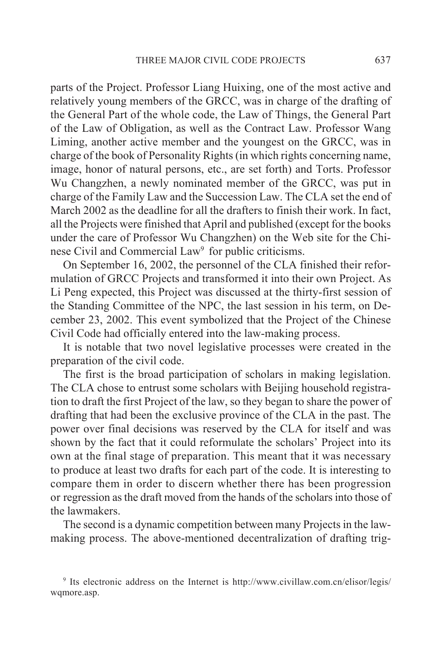parts of the Project. Professor Liang Huixing, one of the most active and relatively young members of the GRCC, was in charge of the drafting of the General Part of the whole code, the Law of Things, the General Part of the Law of Obligation, as well as the Contract Law. Professor Wang Liming, another active member and the youngest on the GRCC, was in charge of the book of Personality Rights (in which rights concerning name, image, honor of natural persons, etc., are set forth) and Torts. Professor Wu Changzhen, a newly nominated member of the GRCC, was put in charge of the Family Law and the Succession Law. The CLA set the end of March 2002 as the deadline for all the drafters to finish their work. In fact, all the Projects were finished that April and published (except for the books under the care of Professor Wu Changzhen) on the Web site for the Chinese Civil and Commercial Law<sup>9</sup> for public criticisms.

On September 16, 2002, the personnel of the CLA finished their reformulation of GRCC Projects and transformed it into their own Project. As Li Peng expected, this Project was discussed at the thirty-first session of the Standing Committee of the NPC, the last session in his term, on December 23, 2002. This event symbolized that the Project of the Chinese Civil Code had officially entered into the law-making process.

It is notable that two novel legislative processes were created in the preparation of the civil code.

The first is the broad participation of scholars in making legislation. The CLA chose to entrust some scholars with Beijing household registration to draft the first Project of the law, so they began to share the power of drafting that had been the exclusive province of the CLA in the past. The power over final decisions was reserved by the CLA for itself and was shown by the fact that it could reformulate the scholars' Project into its own at the final stage of preparation. This meant that it was necessary to produce at least two drafts for each part of the code. It is interesting to compare them in order to discern whether there has been progression or regression as the draft moved from the hands of the scholars into those of the lawmakers.

The second is a dynamic competition between many Projects in the lawmaking process. The above-mentioned decentralization of drafting trig-

<sup>9</sup> Its electronic address on the Internet is http://www.civillaw.com.cn/elisor/legis/ wqmore.asp.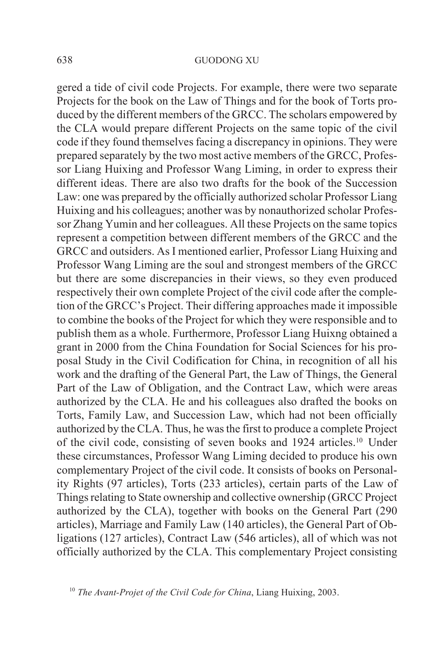gered a tide of civil code Projects. For example, there were two separate Projects for the book on the Law of Things and for the book of Torts produced by the different members of the GRCC. The scholars empowered by the CLA would prepare different Projects on the same topic of the civil code if they found themselves facing a discrepancy in opinions. They were prepared separately by the two most active members of the GRCC, Professor Liang Huixing and Professor Wang Liming, in order to express their different ideas. There are also two drafts for the book of the Succession Law: one was prepared by the officially authorized scholar Professor Liang Huixing and his colleagues; another was by nonauthorized scholar Professor Zhang Yumin and her colleagues. All these Projects on the same topics represent a competition between different members of the GRCC and the GRCC and outsiders. As I mentioned earlier, Professor Liang Huixing and Professor Wang Liming are the soul and strongest members of the GRCC but there are some discrepancies in their views, so they even produced respectively their own complete Project of the civil code after the completion of the GRCC's Project. Their differing approaches made it impossible to combine the books of the Project for which they were responsible and to publish them as a whole. Furthermore, Professor Liang Huixng obtained a grant in 2000 from the China Foundation for Social Sciences for his proposal Study in the Civil Codification for China, in recognition of all his work and the drafting of the General Part, the Law of Things, the General Part of the Law of Obligation, and the Contract Law, which were areas authorized by the CLA. He and his colleagues also drafted the books on Torts, Family Law, and Succession Law, which had not been officially authorized by the CLA. Thus, he was the first to produce a complete Project of the civil code, consisting of seven books and 1924 articles.10 Under these circumstances, Professor Wang Liming decided to produce his own complementary Project of the civil code. It consists of books on Personality Rights (97 articles), Torts (233 articles), certain parts of the Law of Things relating to State ownership and collective ownership (GRCC Project authorized by the CLA), together with books on the General Part (290 articles), Marriage and Family Law (140 articles), the General Part of Obligations (127 articles), Contract Law (546 articles), all of which was not officially authorized by the CLA. This complementary Project consisting

<sup>10</sup> *The Avant-Projet of the Civil Code for China*, Liang Huixing, 2003.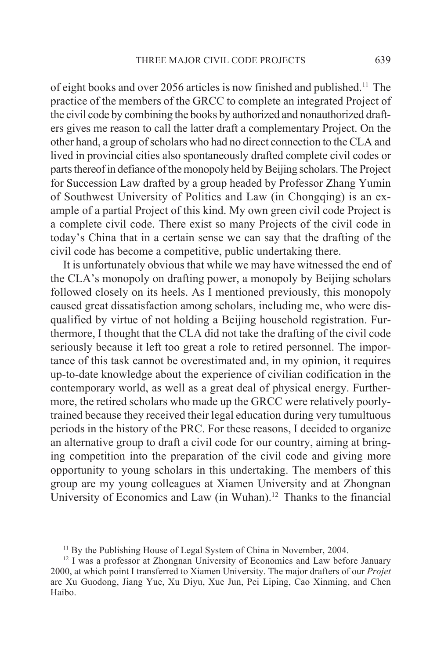of eight books and over 2056 articles is now finished and published.11 The practice of the members of the GRCC to complete an integrated Project of the civil code by combining the books by authorized and nonauthorized drafters gives me reason to call the latter draft a complementary Project. On the other hand, a group of scholars who had no direct connection to the CLA and lived in provincial cities also spontaneously drafted complete civil codes or parts thereof in defiance of the monopoly held by Beijing scholars. The Project for Succession Law drafted by a group headed by Professor Zhang Yumin of Southwest University of Politics and Law (in Chongqing) is an example of a partial Project of this kind. My own green civil code Project is a complete civil code. There exist so many Projects of the civil code in today's China that in a certain sense we can say that the drafting of the civil code has become a competitive, public undertaking there.

It is unfortunately obvious that while we may have witnessed the end of the CLA's monopoly on drafting power, a monopoly by Beijing scholars followed closely on its heels. As I mentioned previously, this monopoly caused great dissatisfaction among scholars, including me, who were disqualified by virtue of not holding a Beijing household registration. Furthermore, I thought that the CLA did not take the drafting of the civil code seriously because it left too great a role to retired personnel. The importance of this task cannot be overestimated and, in my opinion, it requires up-to-date knowledge about the experience of civilian codification in the contemporary world, as well as a great deal of physical energy. Furthermore, the retired scholars who made up the GRCC were relatively poorlytrained because they received their legal education during very tumultuous periods in the history of the PRC. For these reasons, I decided to organize an alternative group to draft a civil code for our country, aiming at bringing competition into the preparation of the civil code and giving more opportunity to young scholars in this undertaking. The members of this group are my young colleagues at Xiamen University and at Zhongnan University of Economics and Law (in Wuhan).<sup>12</sup> Thanks to the financial

<sup>&</sup>lt;sup>11</sup> By the Publishing House of Legal System of China in November, 2004.

<sup>&</sup>lt;sup>12</sup> I was a professor at Zhongnan University of Economics and Law before January 2000, at which point I transferred to Xiamen University. The major drafters of our *Projet* are Xu Guodong, Jiang Yue, Xu Diyu, Xue Jun, Pei Liping, Cao Xinming, and Chen Haibo.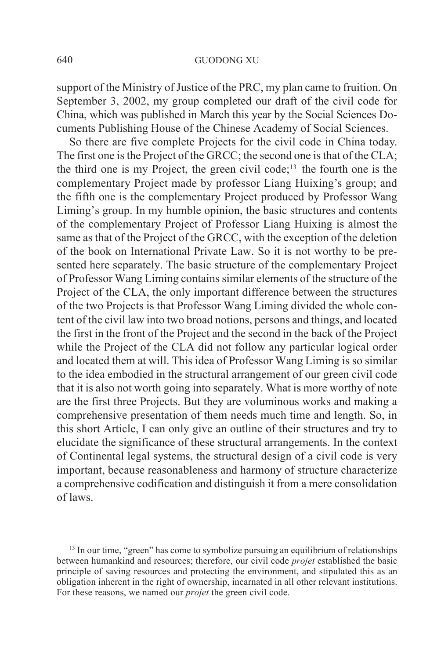support of the Ministry of Justice of the PRC, my plan came to fruition. On September 3, 2002, my group completed our draft of the civil code for China, which was published in March this year by the Social Sciences Documents Publishing House of the Chinese Academy of Social Sciences.

So there are five complete Projects for the civil code in China today. The first one is the Project of the GRCC; the second one is that of the CLA; the third one is my Project, the green civil code;<sup>13</sup> the fourth one is the complementary Project made by professor Liang Huixing's group; and the fifth one is the complementary Project produced by Professor Wang Liming's group. In my humble opinion, the basic structures and contents of the complementary Project of Professor Liang Huixing is almost the same as that of the Project of the GRCC, with the exception of the deletion of the book on International Private Law. So it is not worthy to be presented here separately. The basic structure of the complementary Project of Professor Wang Liming contains similar elements of the structure of the Project of the CLA, the only important difference between the structures of the two Projects is that Professor Wang Liming divided the whole content of the civil law into two broad notions, persons and things, and located the first in the front of the Project and the second in the back of the Project while the Project of the CLA did not follow any particular logical order and located them at will. This idea of Professor Wang Liming is so similar to the idea embodied in the structural arrangement of our green civil code that it is also not worth going into separately. What is more worthy of note are the first three Projects. But they are voluminous works and making a comprehensive presentation of them needs much time and length. So, in this short Article, I can only give an outline of their structures and try to elucidate the significance of these structural arrangements. In the context of Continental legal systems, the structural design of a civil code is very important, because reasonableness and harmony of structure characterize a comprehensive codification and distinguish it from a mere consolidation of laws.

<sup>13</sup> In our time, "green" has come to symbolize pursuing an equilibrium of relationships between humankind and resources; therefore, our civil code *projet* established the basic principle of saving resources and protecting the environment, and stipulated this as an obligation inherent in the right of ownership, incarnated in all other relevant institutions. For these reasons, we named our *projet* the green civil code.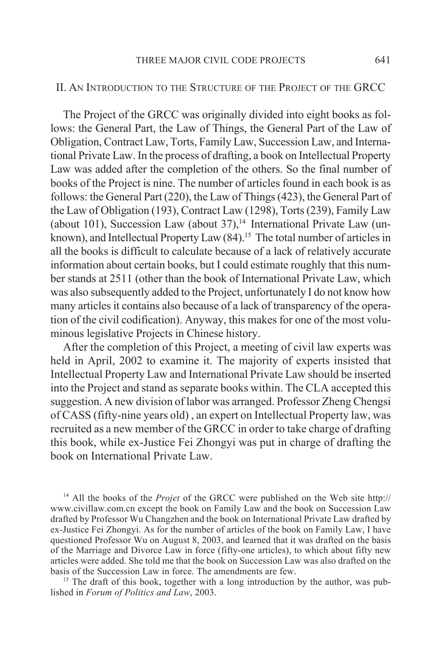### II. AN INTRODUCTION TO THE STRUCTURE OF THE PROJECT OF THE GRCC

The Project of the GRCC was originally divided into eight books as follows: the General Part, the Law of Things, the General Part of the Law of Obligation, Contract Law, Torts, Family Law, Succession Law, and International Private Law. In the process of drafting, a book on Intellectual Property Law was added after the completion of the others. So the final number of books of the Project is nine. The number of articles found in each book is as follows: the General Part (220), the Law of Things (423), the General Part of the Law of Obligation (193), Contract Law (1298), Torts (239), Family Law (about 101), Succession Law (about 37), $14$  International Private Law (unknown), and Intellectual Property Law  $(84)$ <sup>15</sup> The total number of articles in all the books is difficult to calculate because of a lack of relatively accurate information about certain books, but I could estimate roughly that this number stands at 2511 (other than the book of International Private Law, which was also subsequently added to the Project, unfortunately I do not know how many articles it contains also because of a lack of transparency of the operation of the civil codification). Anyway, this makes for one of the most voluminous legislative Projects in Chinese history.

After the completion of this Project, a meeting of civil law experts was held in April, 2002 to examine it. The majority of experts insisted that Intellectual Property Law and International Private Law should be inserted into the Project and stand as separate books within. The CLA accepted this suggestion. A new division of labor was arranged. Professor Zheng Chengsi of CASS (fifty-nine years old) , an expert on Intellectual Property law, was recruited as a new member of the GRCC in order to take charge of drafting this book, while ex-Justice Fei Zhongyi was put in charge of drafting the book on International Private Law.

14 All the books of the *Projet* of the GRCC were published on the Web site http:// www.civillaw.com.cn except the book on Family Law and the book on Succession Law drafted by Professor Wu Changzhen and the book on International Private Law drafted by ex-Justice Fei Zhongyi. As for the number of articles of the book on Family Law, I have questioned Professor Wu on August 8, 2003, and learned that it was drafted on the basis of the Marriage and Divorce Law in force (fifty-one articles), to which about fifty new articles were added. She told me that the book on Succession Law was also drafted on the basis of the Succession Law in force. The amendments are few.

<sup>15</sup> The draft of this book, together with a long introduction by the author, was published in *Forum of Politics and Law*, 2003.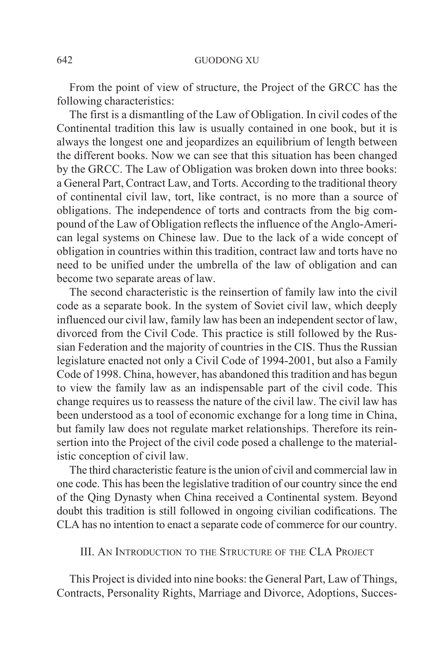From the point of view of structure, the Project of the GRCC has the following characteristics:

The first is a dismantling of the Law of Obligation. In civil codes of the Continental tradition this law is usually contained in one book, but it is always the longest one and jeopardizes an equilibrium of length between the different books. Now we can see that this situation has been changed by the GRCC. The Law of Obligation was broken down into three books: a General Part, Contract Law, and Torts. According to the traditional theory of continental civil law, tort, like contract, is no more than a source of obligations. The independence of torts and contracts from the big compound of the Law of Obligation reflects the influence of the Anglo-American legal systems on Chinese law. Due to the lack of a wide concept of obligation in countries within this tradition, contract law and torts have no need to be unified under the umbrella of the law of obligation and can become two separate areas of law.

The second characteristic is the reinsertion of family law into the civil code as a separate book. In the system of Soviet civil law, which deeply influenced our civil law, family law has been an independent sector of law, divorced from the Civil Code. This practice is still followed by the Russian Federation and the majority of countries in the CIS. Thus the Russian legislature enacted not only a Civil Code of 1994-2001, but also a Family Code of 1998. China, however, has abandoned this tradition and has begun to view the family law as an indispensable part of the civil code. This change requires us to reassess the nature of the civil law. The civil law has been understood as a tool of economic exchange for a long time in China, but family law does not regulate market relationships. Therefore its reinsertion into the Project of the civil code posed a challenge to the materialistic conception of civil law.

The third characteristic feature is the union of civil and commercial law in one code. This has been the legislative tradition of our country since the end of the Qing Dynasty when China received a Continental system. Beyond doubt this tradition is still followed in ongoing civilian codifications. The CLA has no intention to enact a separate code of commerce for our country.

## III. AN INTRODUCTION TO THE STRUCTURE OF THE CLA PROJECT

This Project is divided into nine books: the General Part, Law of Things, Contracts, Personality Rights, Marriage and Divorce, Adoptions, Succes-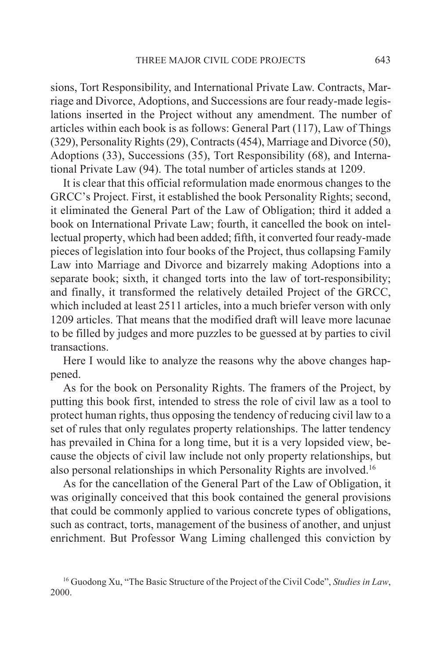sions, Tort Responsibility, and International Private Law. Contracts, Marriage and Divorce, Adoptions, and Successions are four ready-made legislations inserted in the Project without any amendment. The number of articles within each book is as follows: General Part (117), Law of Things (329), Personality Rights (29), Contracts (454), Marriage and Divorce (50), Adoptions (33), Successions (35), Tort Responsibility (68), and International Private Law (94). The total number of articles stands at 1209.

It is clear that this official reformulation made enormous changes to the GRCC's Project. First, it established the book Personality Rights; second, it eliminated the General Part of the Law of Obligation; third it added a book on International Private Law; fourth, it cancelled the book on intellectual property, which had been added; fifth, it converted four ready-made pieces of legislation into four books of the Project, thus collapsing Family Law into Marriage and Divorce and bizarrely making Adoptions into a separate book; sixth, it changed torts into the law of tort-responsibility; and finally, it transformed the relatively detailed Project of the GRCC, which included at least 2511 articles, into a much briefer verson with only 1209 articles. That means that the modified draft will leave more lacunae to be filled by judges and more puzzles to be guessed at by parties to civil transactions.

Here I would like to analyze the reasons why the above changes happened.

As for the book on Personality Rights. The framers of the Project, by putting this book first, intended to stress the role of civil law as a tool to protect human rights, thus opposing the tendency of reducing civil law to a set of rules that only regulates property relationships. The latter tendency has prevailed in China for a long time, but it is a very lopsided view, because the objects of civil law include not only property relationships, but also personal relationships in which Personality Rights are involved.16

As for the cancellation of the General Part of the Law of Obligation, it was originally conceived that this book contained the general provisions that could be commonly applied to various concrete types of obligations, such as contract, torts, management of the business of another, and unjust enrichment. But Professor Wang Liming challenged this conviction by

<sup>16</sup> Guodong Xu, "The Basic Structure of the Project of the Civil Code", *Studies in Law*, 2000.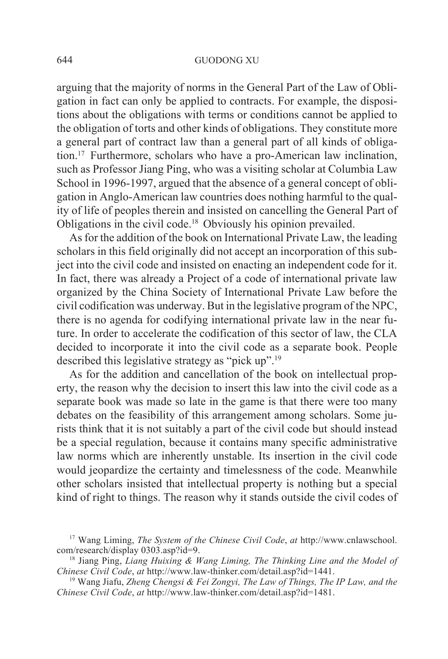arguing that the majority of norms in the General Part of the Law of Obligation in fact can only be applied to contracts. For example, the dispositions about the obligations with terms or conditions cannot be applied to the obligation of torts and other kinds of obligations. They constitute more a general part of contract law than a general part of all kinds of obligation.17 Furthermore, scholars who have a pro-American law inclination, such as Professor Jiang Ping, who was a visiting scholar at Columbia Law School in 1996-1997, argued that the absence of a general concept of obligation in Anglo-American law countries does nothing harmful to the quality of life of peoples therein and insisted on cancelling the General Part of Obligations in the civil code.18 Obviously his opinion prevailed.

As for the addition of the book on International Private Law, the leading scholars in this field originally did not accept an incorporation of this subject into the civil code and insisted on enacting an independent code for it. In fact, there was already a Project of a code of international private law organized by the China Society of International Private Law before the civil codification was underway. But in the legislative program of the NPC, there is no agenda for codifying international private law in the near future. In order to accelerate the codification of this sector of law, the CLA decided to incorporate it into the civil code as a separate book. People described this legislative strategy as "pick up".19

As for the addition and cancellation of the book on intellectual property, the reason why the decision to insert this law into the civil code as a separate book was made so late in the game is that there were too many debates on the feasibility of this arrangement among scholars. Some jurists think that it is not suitably a part of the civil code but should instead be a special regulation, because it contains many specific administrative law norms which are inherently unstable. Its insertion in the civil code would jeopardize the certainty and timelessness of the code. Meanwhile other scholars insisted that intellectual property is nothing but a special kind of right to things. The reason why it stands outside the civil codes of

<sup>17</sup> Wang Liming, *The System of the Chinese Civil Code*, *at* http://www.cnlawschool. com/research/display 0303.asp?id=9.

<sup>18</sup> Jiang Ping, *Liang Huixing & Wang Liming, The Thinking Line and the Model of Chinese Civil Code*, *at* http://www.law-thinker.com/detail.asp?id=1441.

<sup>19</sup> Wang Jiafu, *Zheng Chengsi & Fei Zongyi, The Law of Things, The IP Law, and the Chinese Civil Code*, *at* http://www.law-thinker.com/detail.asp?id=1481.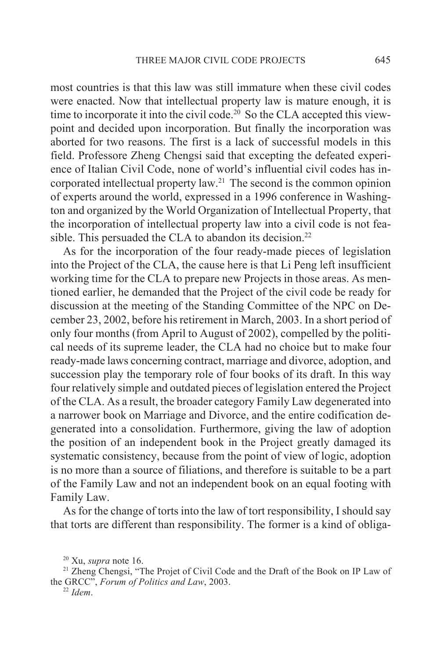most countries is that this law was still immature when these civil codes were enacted. Now that intellectual property law is mature enough, it is time to incorporate it into the civil code.<sup>20</sup> So the CLA accepted this viewpoint and decided upon incorporation. But finally the incorporation was aborted for two reasons. The first is a lack of successful models in this field. Professore Zheng Chengsi said that excepting the defeated experience of Italian Civil Code, none of world's influential civil codes has incorporated intellectual property law.21 The second is the common opinion of experts around the world, expressed in a 1996 conference in Washington and organized by the World Organization of Intellectual Property, that the incorporation of intellectual property law into a civil code is not feasible. This persuaded the CLA to abandon its decision.<sup>22</sup>

As for the incorporation of the four ready-made pieces of legislation into the Project of the CLA, the cause here is that Li Peng left insufficient working time for the CLA to prepare new Projects in those areas. As mentioned earlier, he demanded that the Project of the civil code be ready for discussion at the meeting of the Standing Committee of the NPC on December 23, 2002, before his retirement in March, 2003. In a short period of only four months (from April to August of 2002), compelled by the political needs of its supreme leader, the CLA had no choice but to make four ready-made laws concerning contract, marriage and divorce, adoption, and succession play the temporary role of four books of its draft. In this way four relatively simple and outdated pieces of legislation entered the Project of the CLA. As a result, the broader category Family Law degenerated into a narrower book on Marriage and Divorce, and the entire codification degenerated into a consolidation. Furthermore, giving the law of adoption the position of an independent book in the Project greatly damaged its systematic consistency, because from the point of view of logic, adoption is no more than a source of filiations, and therefore is suitable to be a part of the Family Law and not an independent book on an equal footing with Family Law.

As for the change of torts into the law of tort responsibility, I should say that torts are different than responsibility. The former is a kind of obliga-

<sup>20</sup> Xu, *supra* note 16.

<sup>&</sup>lt;sup>21</sup> Zheng Chengsi, "The Projet of Civil Code and the Draft of the Book on IP Law of the GRCC", *Forum of Politics and Law*, 2003.

<sup>22</sup> *Idem*.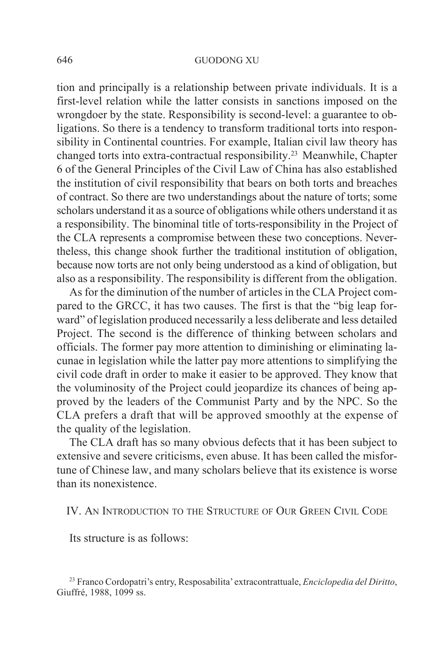#### 646 GUODONG XU

tion and principally is a relationship between private individuals. It is a first-level relation while the latter consists in sanctions imposed on the wrongdoer by the state. Responsibility is second-level: a guarantee to obligations. So there is a tendency to transform traditional torts into responsibility in Continental countries. For example, Italian civil law theory has changed torts into extra-contractual responsibility.23 Meanwhile, Chapter 6 of the General Principles of the Civil Law of China has also established the institution of civil responsibility that bears on both torts and breaches of contract. So there are two understandings about the nature of torts; some scholars understand it as a source of obligations while others understand it as a responsibility. The binominal title of torts-responsibility in the Project of the CLA represents a compromise between these two conceptions. Nevertheless, this change shook further the traditional institution of obligation, because now torts are not only being understood as a kind of obligation, but also as a responsibility. The responsibility is different from the obligation.

As for the diminution of the number of articles in the CLA Project compared to the GRCC, it has two causes. The first is that the "big leap forward" of legislation produced necessarily a less deliberate and less detailed Project. The second is the difference of thinking between scholars and officials. The former pay more attention to diminishing or eliminating lacunae in legislation while the latter pay more attentions to simplifying the civil code draft in order to make it easier to be approved. They know that the voluminosity of the Project could jeopardize its chances of being approved by the leaders of the Communist Party and by the NPC. So the CLA prefers a draft that will be approved smoothly at the expense of the quality of the legislation.

The CLA draft has so many obvious defects that it has been subject to extensive and severe criticisms, even abuse. It has been called the misfortune of Chinese law, and many scholars believe that its existence is worse than its nonexistence.

IV. AN INTRODUCTION TO THE STRUCTURE OF OUR GREEN CIVIL CODE

Its structure is as follows:

<sup>23</sup> Franco Cordopatri's entry, Resposabilita' extracontrattuale, *Enciclopedia del Diritto*, Giuffré, 1988, 1099 ss.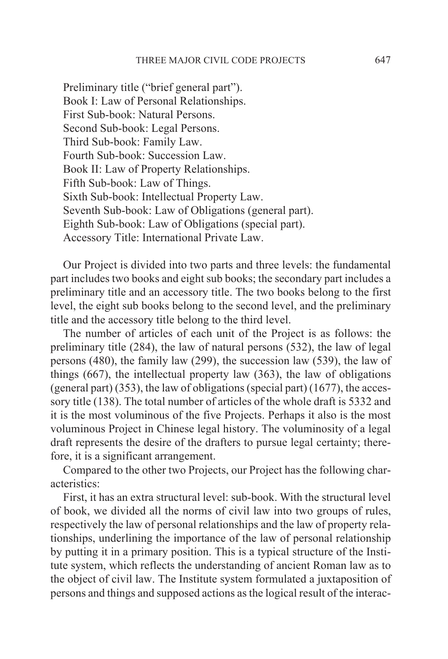Preliminary title ("brief general part"). Book I: Law of Personal Relationships. First Sub-book: Natural Persons. Second Sub-book: Legal Persons. Third Sub-book: Family Law. Fourth Sub-book: Succession Law. Book II: Law of Property Relationships. Fifth Sub-book: Law of Things. Sixth Sub-book: Intellectual Property Law. Seventh Sub-book: Law of Obligations (general part). Eighth Sub-book: Law of Obligations (special part). Accessory Title: International Private Law.

Our Project is divided into two parts and three levels: the fundamental part includes two books and eight sub books; the secondary part includes a preliminary title and an accessory title. The two books belong to the first level, the eight sub books belong to the second level, and the preliminary title and the accessory title belong to the third level.

The number of articles of each unit of the Project is as follows: the preliminary title (284), the law of natural persons (532), the law of legal persons (480), the family law (299), the succession law (539), the law of things (667), the intellectual property law (363), the law of obligations (general part) (353), the law of obligations (special part) (1677), the accessory title (138). The total number of articles of the whole draft is 5332 and it is the most voluminous of the five Projects. Perhaps it also is the most voluminous Project in Chinese legal history. The voluminosity of a legal draft represents the desire of the drafters to pursue legal certainty; therefore, it is a significant arrangement.

Compared to the other two Projects, our Project has the following characteristics:

First, it has an extra structural level: sub-book. With the structural level of book, we divided all the norms of civil law into two groups of rules, respectively the law of personal relationships and the law of property relationships, underlining the importance of the law of personal relationship by putting it in a primary position. This is a typical structure of the Institute system, which reflects the understanding of ancient Roman law as to the object of civil law. The Institute system formulated a juxtaposition of persons and things and supposed actions as the logical result of the interac-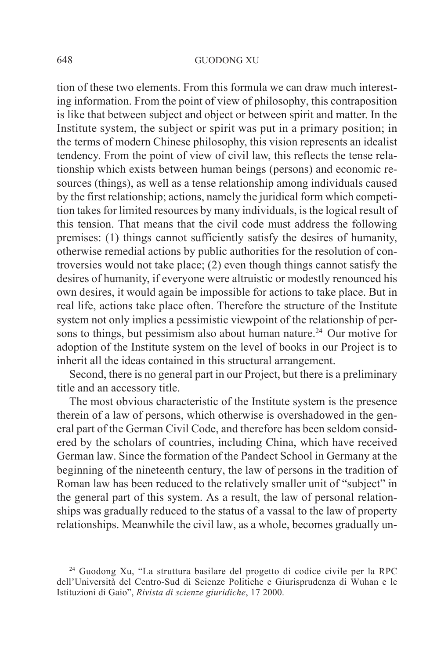tion of these two elements. From this formula we can draw much interesting information. From the point of view of philosophy, this contraposition is like that between subject and object or between spirit and matter. In the Institute system, the subject or spirit was put in a primary position; in the terms of modern Chinese philosophy, this vision represents an idealist tendency. From the point of view of civil law, this reflects the tense relationship which exists between human beings (persons) and economic resources (things), as well as a tense relationship among individuals caused by the first relationship; actions, namely the juridical form which competition takes for limited resources by many individuals, is the logical result of this tension. That means that the civil code must address the following premises: (1) things cannot sufficiently satisfy the desires of humanity, otherwise remedial actions by public authorities for the resolution of controversies would not take place; (2) even though things cannot satisfy the desires of humanity, if everyone were altruistic or modestly renounced his own desires, it would again be impossible for actions to take place. But in real life, actions take place often. Therefore the structure of the Institute system not only implies a pessimistic viewpoint of the relationship of persons to things, but pessimism also about human nature.<sup>24</sup> Our motive for adoption of the Institute system on the level of books in our Project is to inherit all the ideas contained in this structural arrangement.

Second, there is no general part in our Project, but there is a preliminary title and an accessory title.

The most obvious characteristic of the Institute system is the presence therein of a law of persons, which otherwise is overshadowed in the general part of the German Civil Code, and therefore has been seldom considered by the scholars of countries, including China, which have received German law. Since the formation of the Pandect School in Germany at the beginning of the nineteenth century, the law of persons in the tradition of Roman law has been reduced to the relatively smaller unit of "subject" in the general part of this system. As a result, the law of personal relationships was gradually reduced to the status of a vassal to the law of property relationships. Meanwhile the civil law, as a whole, becomes gradually un-

<sup>24</sup> Guodong Xu, "La struttura basilare del progetto di codice civile per la RPC dell'Università del Centro-Sud di Scienze Politiche e Giurisprudenza di Wuhan e le Istituzioni di Gaio", *Rivista di scienze giuridiche*, 17 2000.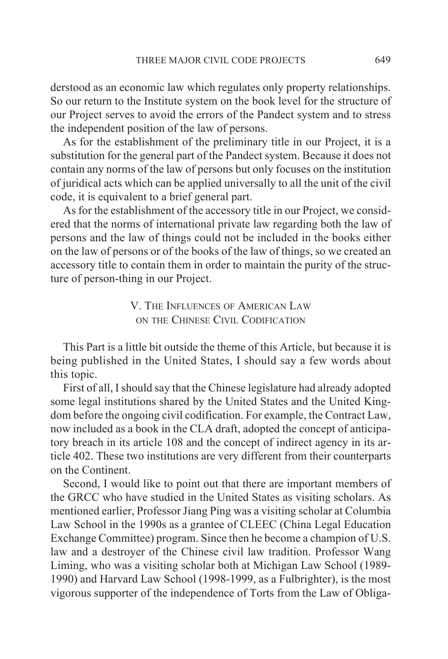derstood as an economic law which regulates only property relationships. So our return to the Institute system on the book level for the structure of our Project serves to avoid the errors of the Pandect system and to stress the independent position of the law of persons.

As for the establishment of the preliminary title in our Project, it is a substitution for the general part of the Pandect system. Because it does not contain any norms of the law of persons but only focuses on the institution of juridical acts which can be applied universally to all the unit of the civil code, it is equivalent to a brief general part.

As for the establishment of the accessory title in our Project, we considered that the norms of international private law regarding both the law of persons and the law of things could not be included in the books either on the law of persons or of the books of the law of things, so we created an accessory title to contain them in order to maintain the purity of the structure of person-thing in our Project.

> V. THE INFLUENCES OF AMERICAN LAW ON THE CHINESE CIVIL CODIFICATION

This Part is a little bit outside the theme of this Article, but because it is being published in the United States, I should say a few words about this topic.

First of all, I should say that the Chinese legislature had already adopted some legal institutions shared by the United States and the United Kingdom before the ongoing civil codification. For example, the Contract Law, now included as a book in the CLA draft, adopted the concept of anticipatory breach in its article 108 and the concept of indirect agency in its article 402. These two institutions are very different from their counterparts on the Continent.

Second, I would like to point out that there are important members of the GRCC who have studied in the United States as visiting scholars. As mentioned earlier, Professor Jiang Ping was a visiting scholar at Columbia Law School in the 1990s as a grantee of CLEEC (China Legal Education Exchange Committee) program. Since then he become a champion of U.S. law and a destroyer of the Chinese civil law tradition. Professor Wang Liming, who was a visiting scholar both at Michigan Law School (1989- 1990) and Harvard Law School (1998-1999, as a Fulbrighter), is the most vigorous supporter of the independence of Torts from the Law of Obliga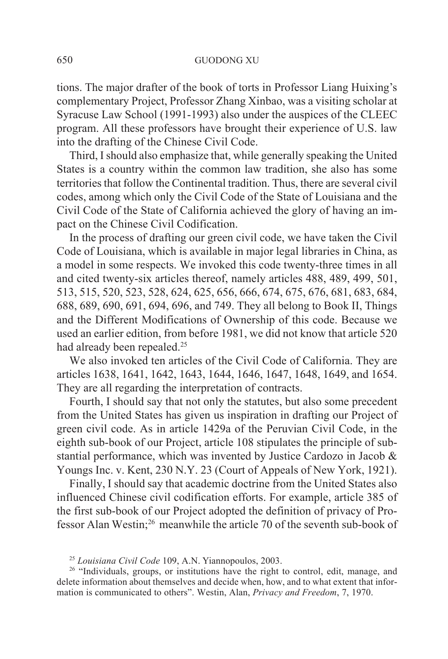tions. The major drafter of the book of torts in Professor Liang Huixing's complementary Project, Professor Zhang Xinbao, was a visiting scholar at Syracuse Law School (1991-1993) also under the auspices of the CLEEC program. All these professors have brought their experience of U.S. law into the drafting of the Chinese Civil Code.

Third, I should also emphasize that, while generally speaking the United States is a country within the common law tradition, she also has some territories that follow the Continental tradition. Thus, there are several civil codes, among which only the Civil Code of the State of Louisiana and the Civil Code of the State of California achieved the glory of having an impact on the Chinese Civil Codification.

In the process of drafting our green civil code, we have taken the Civil Code of Louisiana, which is available in major legal libraries in China, as a model in some respects. We invoked this code twenty-three times in all and cited twenty-six articles thereof, namely articles 488, 489, 499, 501, 513, 515, 520, 523, 528, 624, 625, 656, 666, 674, 675, 676, 681, 683, 684, 688, 689, 690, 691, 694, 696, and 749. They all belong to Book II, Things and the Different Modifications of Ownership of this code. Because we used an earlier edition, from before 1981, we did not know that article 520 had already been repealed.<sup>25</sup>

We also invoked ten articles of the Civil Code of California. They are articles 1638, 1641, 1642, 1643, 1644, 1646, 1647, 1648, 1649, and 1654. They are all regarding the interpretation of contracts.

Fourth, I should say that not only the statutes, but also some precedent from the United States has given us inspiration in drafting our Project of green civil code. As in article 1429a of the Peruvian Civil Code, in the eighth sub-book of our Project, article 108 stipulates the principle of substantial performance, which was invented by Justice Cardozo in Jacob & Youngs Inc. v. Kent, 230 N.Y. 23 (Court of Appeals of New York, 1921).

Finally, I should say that academic doctrine from the United States also influenced Chinese civil codification efforts. For example, article 385 of the first sub-book of our Project adopted the definition of privacy of Professor Alan Westin;26 meanwhile the article 70 of the seventh sub-book of

<sup>25</sup> *Louisiana Civil Code* 109, A.N. Yiannopoulos, 2003.

<sup>&</sup>lt;sup>26</sup> "Individuals, groups, or institutions have the right to control, edit, manage, and delete information about themselves and decide when, how, and to what extent that information is communicated to others". Westin, Alan, *Privacy and Freedom*, 7, 1970.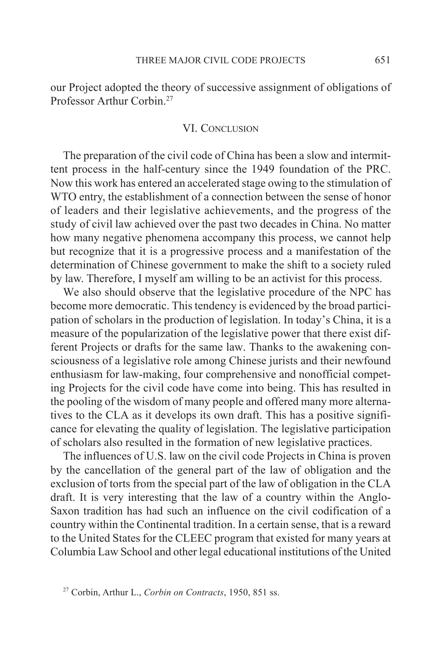our Project adopted the theory of successive assignment of obligations of Professor Arthur Corbin<sup>27</sup>

#### VI. CONCLUSION

The preparation of the civil code of China has been a slow and intermittent process in the half-century since the 1949 foundation of the PRC. Now this work has entered an accelerated stage owing to the stimulation of WTO entry, the establishment of a connection between the sense of honor of leaders and their legislative achievements, and the progress of the study of civil law achieved over the past two decades in China. No matter how many negative phenomena accompany this process, we cannot help but recognize that it is a progressive process and a manifestation of the determination of Chinese government to make the shift to a society ruled by law. Therefore, I myself am willing to be an activist for this process.

We also should observe that the legislative procedure of the NPC has become more democratic. This tendency is evidenced by the broad participation of scholars in the production of legislation. In today's China, it is a measure of the popularization of the legislative power that there exist different Projects or drafts for the same law. Thanks to the awakening consciousness of a legislative role among Chinese jurists and their newfound enthusiasm for law-making, four comprehensive and nonofficial competing Projects for the civil code have come into being. This has resulted in the pooling of the wisdom of many people and offered many more alternatives to the CLA as it develops its own draft. This has a positive significance for elevating the quality of legislation. The legislative participation of scholars also resulted in the formation of new legislative practices.

The influences of U.S. law on the civil code Projects in China is proven by the cancellation of the general part of the law of obligation and the exclusion of torts from the special part of the law of obligation in the CLA draft. It is very interesting that the law of a country within the Anglo-Saxon tradition has had such an influence on the civil codification of a country within the Continental tradition. In a certain sense, that is a reward to the United States for the CLEEC program that existed for many years at Columbia Law School and other legal educational institutions of the United

<sup>27</sup> Corbin, Arthur L., *Corbin on Contracts*, 1950, 851 ss.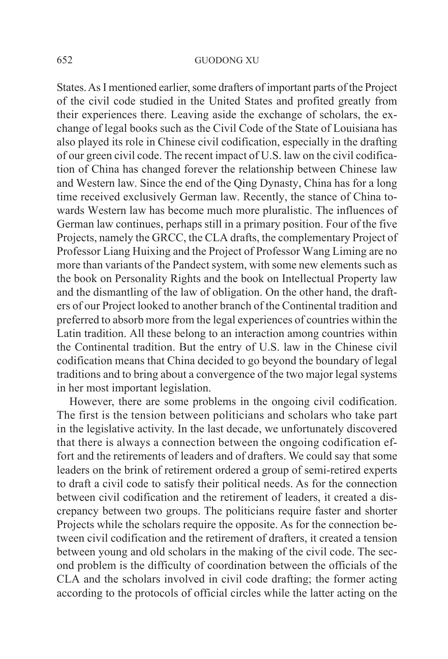States. As I mentioned earlier, some drafters of important parts of the Project of the civil code studied in the United States and profited greatly from their experiences there. Leaving aside the exchange of scholars, the exchange of legal books such as the Civil Code of the State of Louisiana has also played its role in Chinese civil codification, especially in the drafting of our green civil code. The recent impact of U.S. law on the civil codification of China has changed forever the relationship between Chinese law and Western law. Since the end of the Qing Dynasty, China has for a long time received exclusively German law. Recently, the stance of China towards Western law has become much more pluralistic. The influences of German law continues, perhaps still in a primary position. Four of the five Projects, namely the GRCC, the CLA drafts, the complementary Project of Professor Liang Huixing and the Project of Professor Wang Liming are no more than variants of the Pandect system, with some new elements such as the book on Personality Rights and the book on Intellectual Property law and the dismantling of the law of obligation. On the other hand, the drafters of our Project looked to another branch of the Continental tradition and preferred to absorb more from the legal experiences of countries within the Latin tradition. All these belong to an interaction among countries within the Continental tradition. But the entry of U.S. law in the Chinese civil codification means that China decided to go beyond the boundary of legal traditions and to bring about a convergence of the two major legal systems in her most important legislation.

However, there are some problems in the ongoing civil codification. The first is the tension between politicians and scholars who take part in the legislative activity. In the last decade, we unfortunately discovered that there is always a connection between the ongoing codification effort and the retirements of leaders and of drafters. We could say that some leaders on the brink of retirement ordered a group of semi-retired experts to draft a civil code to satisfy their political needs. As for the connection between civil codification and the retirement of leaders, it created a discrepancy between two groups. The politicians require faster and shorter Projects while the scholars require the opposite. As for the connection between civil codification and the retirement of drafters, it created a tension between young and old scholars in the making of the civil code. The second problem is the difficulty of coordination between the officials of the CLA and the scholars involved in civil code drafting; the former acting according to the protocols of official circles while the latter acting on the